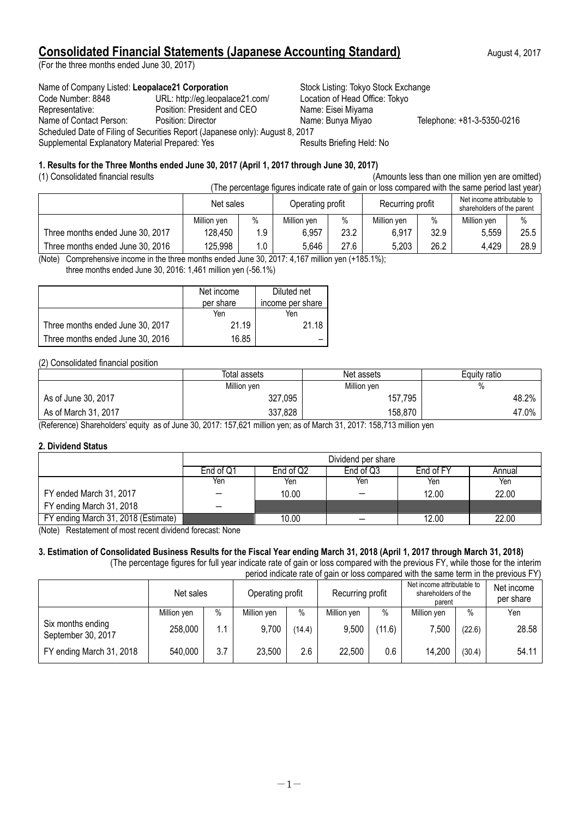# **Consolidated Financial Statements (Japanese Accounting Standard)** August 4, 2017

(For the three months ended June 30, 2017)

Name of Company Listed: Leopalace21 Corporation **Stock Listing: Tokyo Stock Exchange** Code Number: 8848 URL: http://eg.leopalace21.com/ Location of Head Office: Tokyo Representative: Position: President and CEO Name: Eisei Miyama Name of Contact Person: Position: Director Name: Bunya Miyao Telephone: +81-3-5350-0216 Scheduled Date of Filing of Securities Report (Japanese only): August 8, 2017 Supplemental Explanatory Material Prepared: Yes Results Briefing Held: No

# **1. Results for the Three Months ended June 30, 2017 (April 1, 2017 through June 30, 2017)**

(1) Consolidated financial results (Amounts less than one million yen are omitted) (The percentage figures indicate rate of gain or loss compared with the same period last year)

| <u>HIG DEI CEINAUS INUIGO INUICALE TALE OF GAILLOF IOSS COMPANEU WILL LITE SAME DEI IOU IASL VEALL</u> |             |      |                  |      |                  |      |                                                          |      |
|--------------------------------------------------------------------------------------------------------|-------------|------|------------------|------|------------------|------|----------------------------------------------------------|------|
|                                                                                                        | Net sales   |      | Operating profit |      | Recurring profit |      | Net income attributable to<br>shareholders of the parent |      |
|                                                                                                        | Million ven | $\%$ | Million ven      | $\%$ | Million ven      | $\%$ | Million ven                                              | $\%$ |
| Three months ended June 30, 2017                                                                       | 128.450     | 1.9  | 6.957            | 23.2 | 6,917            | 32.9 | 5.559                                                    | 25.5 |
| Three months ended June 30, 2016                                                                       | 125,998     | 1.0  | 5.646            | 27.6 | 5,203            | 26.2 | 4,429                                                    | 28.9 |

(Note) Comprehensive income in the three months ended June 30, 2017: 4,167 million yen (+185.1%); three months ended June 30, 2016: 1,461 million yen (-56.1%)

|                                  | Net income | Diluted net      |
|----------------------------------|------------|------------------|
|                                  | per share  | income per share |
|                                  | Yen        | Yen              |
| Three months ended June 30, 2017 | 21.19      | 21.18            |
| Three months ended June 30, 2016 | 16.85      |                  |

## (2) Consolidated financial position

|                      | Total assets | Net assets  | Equity ratio |
|----------------------|--------------|-------------|--------------|
|                      | Million yen  | Million yen | %            |
| As of June 30, 2017  | 327,095      | 157,795     | 48.2%        |
| As of March 31, 2017 | 337,828      | 158,870     | 47.0%        |

(Reference) Shareholders' equity as of June 30, 2017: 157,621 million yen; as of March 31, 2017: 158,713 million yen

## **2. Dividend Status**

|                                     | Dividend per share |                                               |     |       |       |  |  |  |
|-------------------------------------|--------------------|-----------------------------------------------|-----|-------|-------|--|--|--|
|                                     | End of Q1          | End of Q3<br>End of Q2<br>End of FY<br>Annual |     |       |       |  |  |  |
|                                     | Yen                | Yen                                           | Yen | Yen   | Yen   |  |  |  |
| FY ended March 31, 2017             |                    | 10.00                                         |     | 12.00 | 22.00 |  |  |  |
| FY ending March 31, 2018            |                    |                                               |     |       |       |  |  |  |
| FY ending March 31, 2018 (Estimate) |                    | 10.00                                         |     | 12.00 | 22.00 |  |  |  |

(Note) Restatement of most recent dividend forecast: None

## **3. Estimation of Consolidated Business Results for the Fiscal Year ending March 31, 2018 (April 1, 2017 through March 31, 2018)** (The percentage figures for full year indicate rate of gain or loss compared with the previous FY, while those for the interim

period indicate rate of gain or loss compared with the same term in the previous FY)

|                                         | Net sales   |      | Operating profit |        | Recurring profit |        | Net income attributable to<br>shareholders of the<br>parent |        | Net income<br>per share |
|-----------------------------------------|-------------|------|------------------|--------|------------------|--------|-------------------------------------------------------------|--------|-------------------------|
|                                         | Million yen | $\%$ | Million yen      | $\%$   | Million yen      | $\%$   | Million yen                                                 | $\%$   | Yen                     |
| Six months ending<br>September 30, 2017 | 258,000     | 1.1  | 9,700            | (14.4) | 9,500            | (11.6) | 7.500                                                       | (22.6) | 28.58                   |
| FY ending March 31, 2018                | 540,000     | 3.7  | 23,500           | 2.6    | 22,500           | 0.6    | 14,200                                                      | (30.4) | 54.11                   |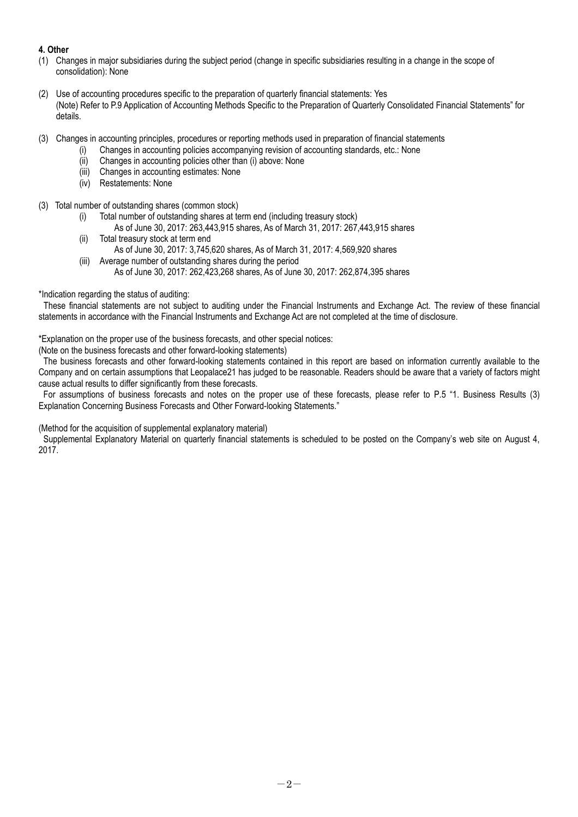# **4. Other**

- (1) Changes in major subsidiaries during the subject period (change in specific subsidiaries resulting in a change in the scope of consolidation): None
- (2) Use of accounting procedures specific to the preparation of quarterly financial statements: Yes (Note) Refer to P.9 Application of Accounting Methods Specific to the Preparation of Quarterly Consolidated Financial Statements" for details.
- (3) Changes in accounting principles, procedures or reporting methods used in preparation of financial statements
	- (i) Changes in accounting policies accompanying revision of accounting standards, etc.: None
		- (ii) Changes in accounting policies other than (i) above: None
		- (iii) Changes in accounting estimates: None
		- (iv) Restatements: None
- (3) Total number of outstanding shares (common stock)
	- (i) Total number of outstanding shares at term end (including treasury stock)
		- As of June 30, 2017: 263,443,915 shares, As of March 31, 2017: 267,443,915 shares
	- (ii) Total treasury stock at term end As of June 30, 2017: 3,745,620 shares, As of March 31, 2017: 4,569,920 shares
	- (iii) Average number of outstanding shares during the period As of June 30, 2017: 262,423,268 shares, As of June 30, 2017: 262,874,395 shares

\*Indication regarding the status of auditing:

These financial statements are not subject to auditing under the Financial Instruments and Exchange Act. The review of these financial statements in accordance with the Financial Instruments and Exchange Act are not completed at the time of disclosure.

\*Explanation on the proper use of the business forecasts, and other special notices:

(Note on the business forecasts and other forward-looking statements)

The business forecasts and other forward-looking statements contained in this report are based on information currently available to the Company and on certain assumptions that Leopalace21 has judged to be reasonable. Readers should be aware that a variety of factors might cause actual results to differ significantly from these forecasts.

For assumptions of business forecasts and notes on the proper use of these forecasts, please refer to P.5 "1. Business Results (3) Explanation Concerning Business Forecasts and Other Forward-looking Statements."

(Method for the acquisition of supplemental explanatory material)

Supplemental Explanatory Material on quarterly financial statements is scheduled to be posted on the Company's web site on August 4, 2017.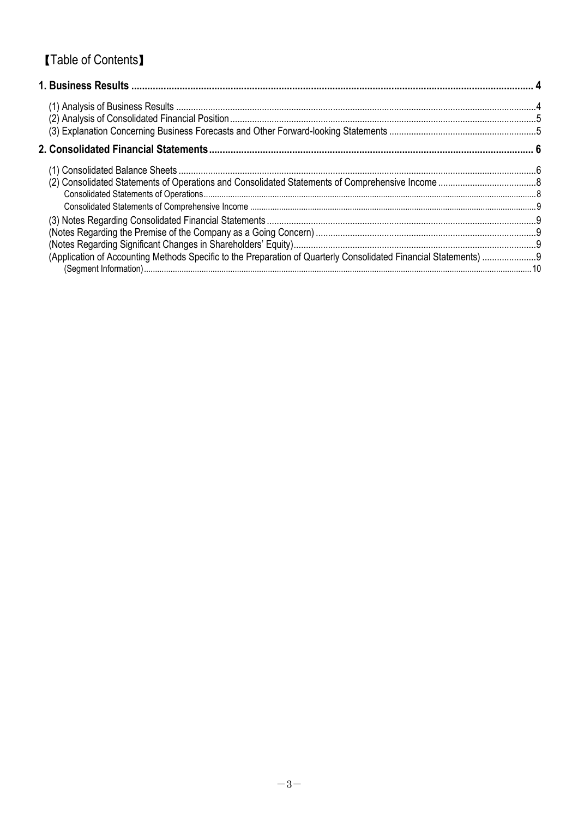# **[Table of Contents]**

| (Application of Accounting Methods Specific to the Preparation of Quarterly Consolidated Financial Statements) |  |
|----------------------------------------------------------------------------------------------------------------|--|
|                                                                                                                |  |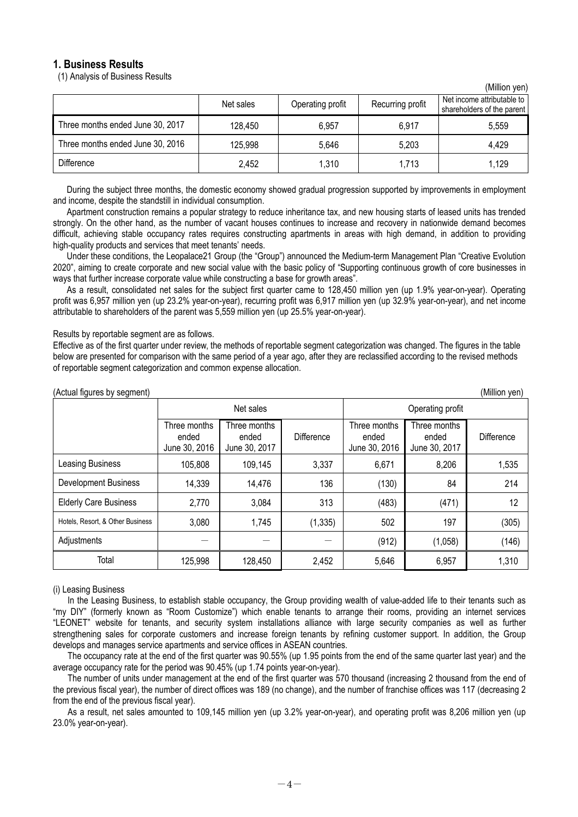# **1. Business Results**

(1) Analysis of Business Results

| <u>(IVIIIIUII VUII)</u>          |           |                  |                  |                                                          |  |  |  |
|----------------------------------|-----------|------------------|------------------|----------------------------------------------------------|--|--|--|
|                                  | Net sales | Operating profit | Recurring profit | Net income attributable to<br>shareholders of the parent |  |  |  |
| Three months ended June 30, 2017 | 128,450   | 6.957            | 6,917            | 5,559                                                    |  |  |  |
| Three months ended June 30, 2016 | 125,998   | 5,646            | 5,203            | 4,429                                                    |  |  |  |
| <b>Difference</b>                | 2,452     | 1,310            | 1,713            | 1,129                                                    |  |  |  |

(Million yen)

During the subject three months, the domestic economy showed gradual progression supported by improvements in employment and income, despite the standstill in individual consumption.

Apartment construction remains a popular strategy to reduce inheritance tax, and new housing starts of leased units has trended strongly. On the other hand, as the number of vacant houses continues to increase and recovery in nationwide demand becomes difficult, achieving stable occupancy rates requires constructing apartments in areas with high demand, in addition to providing high-quality products and services that meet tenants' needs.

Under these conditions, the Leopalace21 Group (the "Group") announced the Medium-term Management Plan "Creative Evolution 2020", aiming to create corporate and new social value with the basic policy of "Supporting continuous growth of core businesses in ways that further increase corporate value while constructing a base for growth areas".

As a result, consolidated net sales for the subject first quarter came to 128,450 million yen (up 1.9% year-on-year). Operating profit was 6,957 million yen (up 23.2% year-on-year), recurring profit was 6,917 million yen (up 32.9% year-on-year), and net income attributable to shareholders of the parent was 5,559 million yen (up 25.5% year-on-year).

## Results by reportable segment are as follows.

Effective as of the first quarter under review, the methods of reportable segment categorization was changed. The figures in the table below are presented for comparison with the same period of a year ago, after they are reclassified according to the revised methods of reportable segment categorization and common expense allocation.

| (Million yen)<br>(Actual figures by segment) |                                        |                                        |            |                                        |                                        |            |  |
|----------------------------------------------|----------------------------------------|----------------------------------------|------------|----------------------------------------|----------------------------------------|------------|--|
|                                              | Net sales                              |                                        |            | Operating profit                       |                                        |            |  |
|                                              | Three months<br>ended<br>June 30, 2016 | Three months<br>ended<br>June 30, 2017 | Difference | Three months<br>ended<br>June 30, 2016 | Three months<br>ended<br>June 30, 2017 | Difference |  |
| Leasing Business                             | 105,808                                | 109,145                                | 3,337      | 6,671                                  | 8,206                                  | 1,535      |  |
| <b>Development Business</b>                  | 14,339                                 | 14,476                                 | 136        | (130)                                  | 84                                     | 214        |  |
| <b>Elderly Care Business</b>                 | 2,770                                  | 3,084                                  | 313        | (483)                                  | (471)                                  | 12         |  |
| Hotels, Resort, & Other Business             | 3,080                                  | 1,745                                  | (1, 335)   | 502                                    | 197                                    | (305)      |  |
| Adjustments                                  |                                        |                                        |            | (912)                                  | (1,058)                                | (146)      |  |
| Total                                        | 125,998                                | 128,450                                | 2,452      | 5,646                                  | 6,957                                  | 1,310      |  |

#### (i) Leasing Business

In the Leasing Business, to establish stable occupancy, the Group providing wealth of value-added life to their tenants such as "my DIY" (formerly known as "Room Customize") which enable tenants to arrange their rooms, providing an internet services "LEONET" website for tenants, and security system installations alliance with large security companies as well as further strengthening sales for corporate customers and increase foreign tenants by refining customer support. In addition, the Group develops and manages service apartments and service offices in ASEAN countries.

The occupancy rate at the end of the first quarter was 90.55% (up 1.95 points from the end of the same quarter last year) and the average occupancy rate for the period was 90.45% (up 1.74 points year-on-year).

The number of units under management at the end of the first quarter was 570 thousand (increasing 2 thousand from the end of the previous fiscal year), the number of direct offices was 189 (no change), and the number of franchise offices was 117 (decreasing 2 from the end of the previous fiscal year).

As a result, net sales amounted to 109,145 million yen (up 3.2% year-on-year), and operating profit was 8,206 million yen (up 23.0% year-on-year).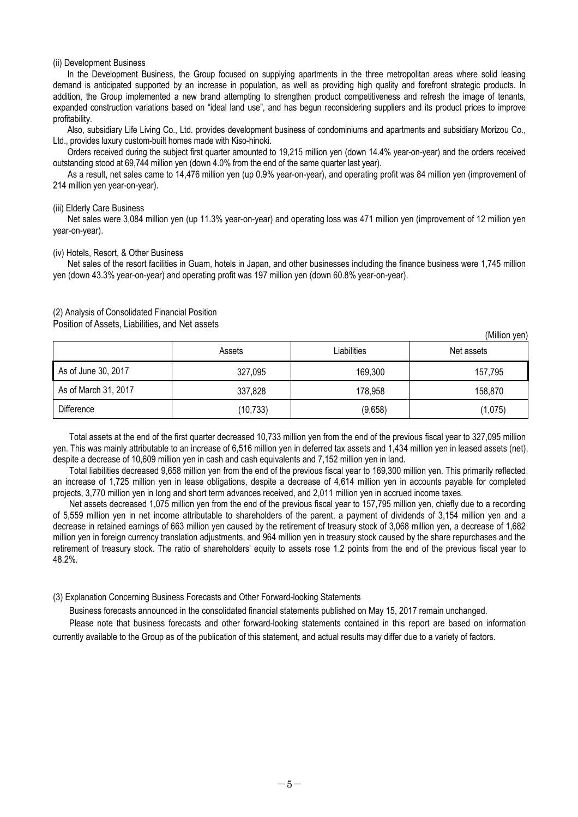#### (ii) Development Business

In the Development Business, the Group focused on supplying apartments in the three metropolitan areas where solid leasing demand is anticipated supported by an increase in population, as well as providing high quality and forefront strategic products. In addition, the Group implemented a new brand attempting to strengthen product competitiveness and refresh the image of tenants, expanded construction variations based on "ideal land use", and has begun reconsidering suppliers and its product prices to improve profitability.

Also, subsidiary Life Living Co., Ltd. provides development business of condominiums and apartments and subsidiary Morizou Co., Ltd., provides luxury custom-built homes made with Kiso-hinoki.

Orders received during the subject first quarter amounted to 19,215 million yen (down 14.4% year-on-year) and the orders received outstanding stood at 69,744 million yen (down 4.0% from the end of the same quarter last year).

As a result, net sales came to 14,476 million yen (up 0.9% year-on-year), and operating profit was 84 million yen (improvement of 214 million yen year-on-year).

#### (iii) Elderly Care Business

Net sales were 3,084 million yen (up 11.3% year-on-year) and operating loss was 471 million yen (improvement of 12 million yen year-on-year).

#### (iv) Hotels, Resort, & Other Business

Net sales of the resort facilities in Guam, hotels in Japan, and other businesses including the finance business were 1,745 million yen (down 43.3% year-on-year) and operating profit was 197 million yen (down 60.8% year-on-year).

#### (2) Analysis of Consolidated Financial Position

Position of Assets, Liabilities, and Net assets

|                      | Assets    | Liabilities |         |
|----------------------|-----------|-------------|---------|
| As of June 30, 2017  | 327.095   | 169,300     | 157,795 |
| As of March 31, 2017 | 337,828   | 178,958     | 158,870 |
| Difference           | (10, 733) | (9,658)     | (1,075) |

(Million yen)

Total assets at the end of the first quarter decreased 10,733 million yen from the end of the previous fiscal year to 327,095 million yen. This was mainly attributable to an increase of 6,516 million yen in deferred tax assets and 1,434 million yen in leased assets (net), despite a decrease of 10,609 million yen in cash and cash equivalents and 7,152 million yen in land.

Total liabilities decreased 9,658 million yen from the end of the previous fiscal year to 169,300 million yen. This primarily reflected an increase of 1,725 million yen in lease obligations, despite a decrease of 4,614 million yen in accounts payable for completed projects, 3,770 million yen in long and short term advances received, and 2,011 million yen in accrued income taxes.

Net assets decreased 1,075 million yen from the end of the previous fiscal year to 157,795 million yen, chiefly due to a recording of 5,559 million yen in net income attributable to shareholders of the parent, a payment of dividends of 3,154 million yen and a decrease in retained earnings of 663 million yen caused by the retirement of treasury stock of 3,068 million yen, a decrease of 1,682 million yen in foreign currency translation adjustments, and 964 million yen in treasury stock caused by the share repurchases and the retirement of treasury stock. The ratio of shareholders' equity to assets rose 1.2 points from the end of the previous fiscal year to 48.2%.

#### (3) Explanation Concerning Business Forecasts and Other Forward-looking Statements

Business forecasts announced in the consolidated financial statements published on May 15, 2017 remain unchanged.

Please note that business forecasts and other forward-looking statements contained in this report are based on information currently available to the Group as of the publication of this statement, and actual results may differ due to a variety of factors.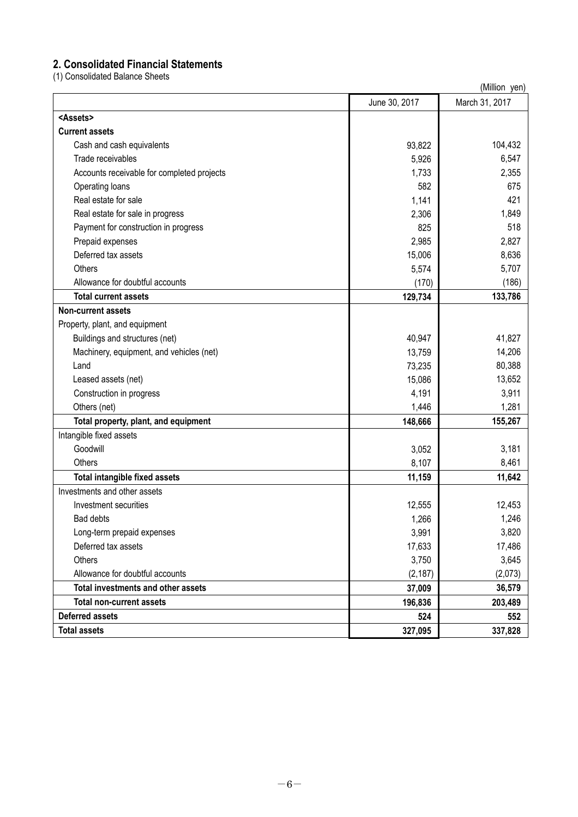# **2. Consolidated Financial Statements**

(1) Consolidated Balance Sheets

| <b>OUTDOINATOR DUIDITOU</b>                | (Million yen) |                |  |  |
|--------------------------------------------|---------------|----------------|--|--|
|                                            | June 30, 2017 | March 31, 2017 |  |  |
| <assets></assets>                          |               |                |  |  |
| <b>Current assets</b>                      |               |                |  |  |
| Cash and cash equivalents                  | 93,822        | 104,432        |  |  |
| Trade receivables                          | 5,926         | 6,547          |  |  |
| Accounts receivable for completed projects | 1,733         | 2,355          |  |  |
| Operating loans                            | 582           | 675            |  |  |
| Real estate for sale                       | 1,141         | 421            |  |  |
| Real estate for sale in progress           | 2,306         | 1,849          |  |  |
| Payment for construction in progress       | 825           | 518            |  |  |
| Prepaid expenses                           | 2,985         | 2,827          |  |  |
| Deferred tax assets                        | 15,006        | 8,636          |  |  |
| Others                                     | 5,574         | 5,707          |  |  |
| Allowance for doubtful accounts            | (170)         | (186)          |  |  |
| <b>Total current assets</b>                | 129,734       | 133,786        |  |  |
| <b>Non-current assets</b>                  |               |                |  |  |
| Property, plant, and equipment             |               |                |  |  |
| Buildings and structures (net)             | 40,947        | 41,827         |  |  |
| Machinery, equipment, and vehicles (net)   | 13,759        | 14,206         |  |  |
| Land                                       | 73,235        | 80,388         |  |  |
| Leased assets (net)                        | 15,086        | 13,652         |  |  |
| Construction in progress                   | 4,191         | 3,911          |  |  |
| Others (net)                               | 1,446         | 1,281          |  |  |
| Total property, plant, and equipment       | 148,666       | 155,267        |  |  |
| Intangible fixed assets                    |               |                |  |  |
| Goodwill                                   | 3,052         | 3,181          |  |  |
| Others                                     | 8,107         | 8,461          |  |  |
| <b>Total intangible fixed assets</b>       | 11,159        | 11,642         |  |  |
| Investments and other assets               |               |                |  |  |
| Investment securities                      | 12,555        | 12,453         |  |  |
| Bad debts                                  | 1,266         | 1,246          |  |  |
| Long-term prepaid expenses                 | 3,991         | 3,820          |  |  |
| Deferred tax assets                        | 17,633        | 17,486         |  |  |
| Others                                     | 3,750         | 3,645          |  |  |
| Allowance for doubtful accounts            | (2, 187)      | (2,073)        |  |  |
| <b>Total investments and other assets</b>  | 37,009        | 36,579         |  |  |
| <b>Total non-current assets</b>            | 196,836       | 203,489        |  |  |
| <b>Deferred assets</b>                     | 524           | 552            |  |  |
| <b>Total assets</b>                        | 327,095       | 337,828        |  |  |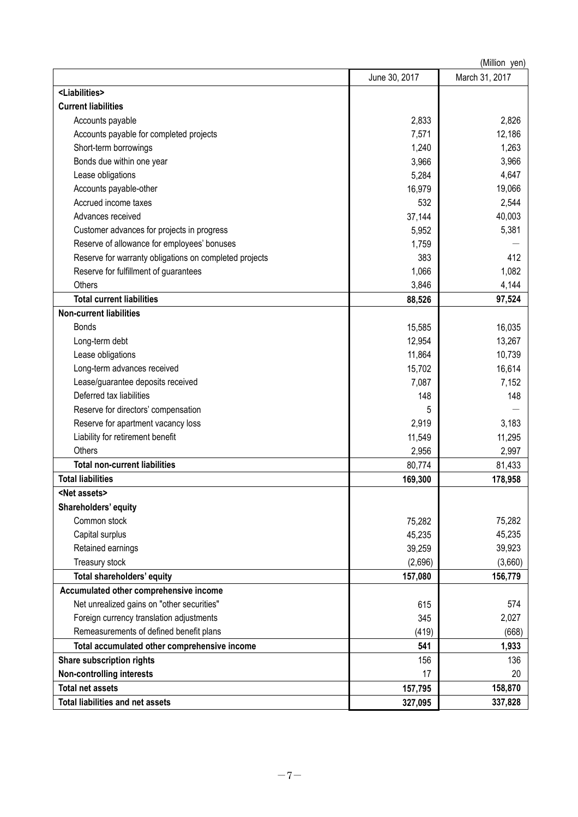|                                                        | (Million yen) |                |  |  |
|--------------------------------------------------------|---------------|----------------|--|--|
|                                                        | June 30, 2017 | March 31, 2017 |  |  |
| <liabilities></liabilities>                            |               |                |  |  |
| <b>Current liabilities</b>                             |               |                |  |  |
| Accounts payable                                       | 2,833         | 2,826          |  |  |
| Accounts payable for completed projects                | 7,571         | 12,186         |  |  |
| Short-term borrowings                                  | 1,240         | 1,263          |  |  |
| Bonds due within one year                              | 3,966         | 3,966          |  |  |
| Lease obligations                                      | 5,284         | 4,647          |  |  |
| Accounts payable-other                                 | 16,979        | 19,066         |  |  |
| Accrued income taxes                                   | 532           | 2,544          |  |  |
| Advances received                                      | 37,144        | 40,003         |  |  |
| Customer advances for projects in progress             | 5,952         | 5,381          |  |  |
| Reserve of allowance for employees' bonuses            | 1,759         |                |  |  |
| Reserve for warranty obligations on completed projects | 383           | 412            |  |  |
| Reserve for fulfillment of guarantees                  | 1,066         | 1,082          |  |  |
| Others                                                 | 3,846         | 4,144          |  |  |
| <b>Total current liabilities</b>                       | 88,526        | 97,524         |  |  |
| <b>Non-current liabilities</b>                         |               |                |  |  |
| <b>Bonds</b>                                           | 15,585        | 16,035         |  |  |
| Long-term debt                                         | 12,954        | 13,267         |  |  |
| Lease obligations                                      | 11,864        | 10,739         |  |  |
| Long-term advances received                            | 15,702        | 16,614         |  |  |
| Lease/guarantee deposits received                      | 7,087         | 7,152          |  |  |
| Deferred tax liabilities                               | 148           | 148            |  |  |
| Reserve for directors' compensation                    | 5             |                |  |  |
| Reserve for apartment vacancy loss                     | 2,919         | 3,183          |  |  |
| Liability for retirement benefit                       | 11,549        | 11,295         |  |  |
| Others                                                 | 2,956         | 2,997          |  |  |
| <b>Total non-current liabilities</b>                   | 80,774        | 81,433         |  |  |
| <b>Total liabilities</b>                               | 169,300       | 178,958        |  |  |
| <net assets=""></net>                                  |               |                |  |  |
| Shareholders' equity                                   |               |                |  |  |
| Common stock                                           | 75,282        | 75,282         |  |  |
| Capital surplus                                        | 45,235        | 45,235         |  |  |
| Retained earnings                                      | 39,259        | 39,923         |  |  |
| Treasury stock                                         | (2,696)       | (3,660)        |  |  |
| Total shareholders' equity                             | 157,080       | 156,779        |  |  |
| Accumulated other comprehensive income                 |               |                |  |  |
| Net unrealized gains on "other securities"             | 615           | 574            |  |  |
| Foreign currency translation adjustments               | 345           | 2,027          |  |  |
| Remeasurements of defined benefit plans                | (419)         | (668)          |  |  |
| Total accumulated other comprehensive income           | 541           | 1,933          |  |  |
| <b>Share subscription rights</b>                       | 156           | 136            |  |  |
| <b>Non-controlling interests</b>                       | 17            | 20             |  |  |
| <b>Total net assets</b>                                | 157,795       | 158,870        |  |  |
| <b>Total liabilities and net assets</b>                | 327,095       | 337,828        |  |  |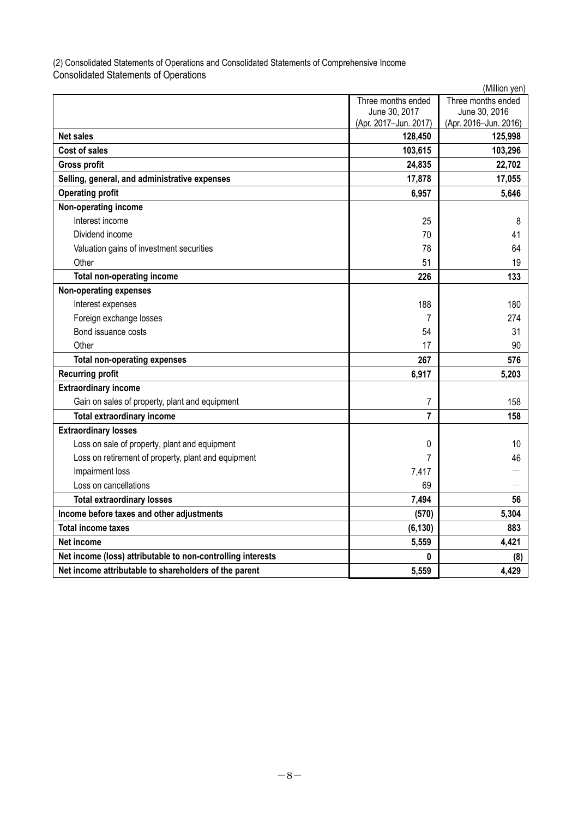(2) Consolidated Statements of Operations and Consolidated Statements of Comprehensive Income Consolidated Statements of Operations

| (Million yen)                                               |                       |                       |  |  |
|-------------------------------------------------------------|-----------------------|-----------------------|--|--|
|                                                             | Three months ended    | Three months ended    |  |  |
|                                                             | June 30, 2017         | June 30, 2016         |  |  |
|                                                             | (Apr. 2017-Jun. 2017) | (Apr. 2016-Jun. 2016) |  |  |
| <b>Net sales</b>                                            | 128,450               | 125,998               |  |  |
| Cost of sales                                               | 103,615               | 103,296               |  |  |
| <b>Gross profit</b>                                         | 24,835                | 22,702                |  |  |
| Selling, general, and administrative expenses               | 17,878                | 17,055                |  |  |
| <b>Operating profit</b>                                     | 6,957                 | 5,646                 |  |  |
| Non-operating income                                        |                       |                       |  |  |
| Interest income                                             | 25                    | 8                     |  |  |
| Dividend income                                             | 70                    | 41                    |  |  |
| Valuation gains of investment securities                    | 78                    | 64                    |  |  |
| Other                                                       | 51                    | 19                    |  |  |
| Total non-operating income                                  | 226                   | 133                   |  |  |
| <b>Non-operating expenses</b>                               |                       |                       |  |  |
| Interest expenses                                           | 188                   | 180                   |  |  |
| Foreign exchange losses                                     | 7                     | 274                   |  |  |
| Bond issuance costs                                         | 54                    | 31                    |  |  |
| Other                                                       | 17                    | 90                    |  |  |
| <b>Total non-operating expenses</b>                         | 267                   | 576                   |  |  |
| <b>Recurring profit</b>                                     | 6,917                 | 5,203                 |  |  |
| <b>Extraordinary income</b>                                 |                       |                       |  |  |
| Gain on sales of property, plant and equipment              | 7                     | 158                   |  |  |
| <b>Total extraordinary income</b>                           | 7                     | 158                   |  |  |
| <b>Extraordinary losses</b>                                 |                       |                       |  |  |
| Loss on sale of property, plant and equipment               | 0                     | 10                    |  |  |
| Loss on retirement of property, plant and equipment         | 7                     | 46                    |  |  |
| Impairment loss                                             | 7,417                 |                       |  |  |
| Loss on cancellations                                       | 69                    |                       |  |  |
| <b>Total extraordinary losses</b>                           | 7,494                 | 56                    |  |  |
| Income before taxes and other adjustments                   | (570)                 | 5,304                 |  |  |
| <b>Total income taxes</b>                                   | (6, 130)              | 883                   |  |  |
| Net income                                                  | 5,559                 | 4,421                 |  |  |
| Net income (loss) attributable to non-controlling interests | 0                     | (8)                   |  |  |
| Net income attributable to shareholders of the parent       | 5,559                 | 4,429                 |  |  |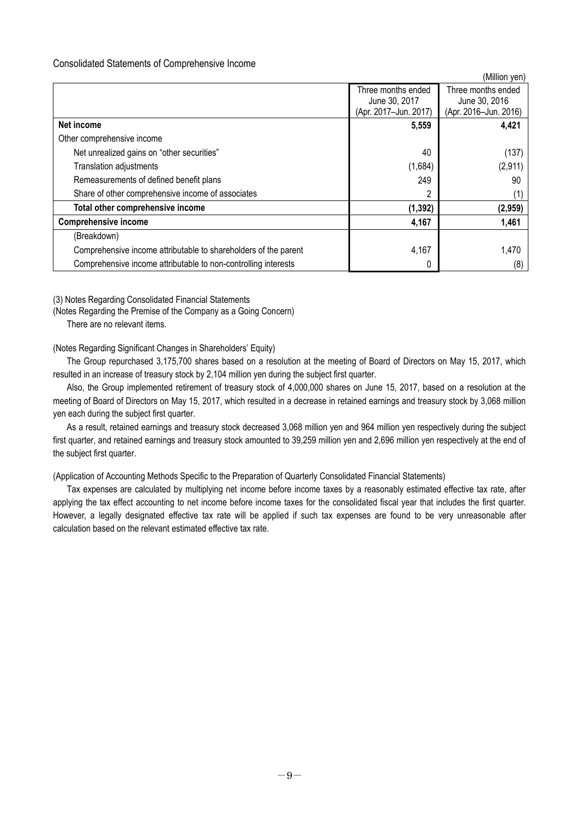## Consolidated Statements of Comprehensive Income

|                                                                 |                                     | (Million yen)                       |
|-----------------------------------------------------------------|-------------------------------------|-------------------------------------|
|                                                                 | Three months ended<br>June 30, 2017 | Three months ended<br>June 30, 2016 |
|                                                                 | (Apr. 2017-Jun. 2017)               | (Apr. 2016-Jun. 2016)               |
| Net income                                                      | 5,559                               | 4,421                               |
| Other comprehensive income                                      |                                     |                                     |
| Net unrealized gains on "other securities"                      | 40                                  | (137)                               |
| <b>Translation adjustments</b>                                  | (1,684)                             | (2,911)                             |
| Remeasurements of defined benefit plans                         | 249                                 | 90                                  |
| Share of other comprehensive income of associates               | 2                                   | (1)                                 |
| Total other comprehensive income                                | (1, 392)                            | (2,959)                             |
| <b>Comprehensive income</b>                                     | 4,167                               | 1,461                               |
| (Breakdown)                                                     |                                     |                                     |
| Comprehensive income attributable to shareholders of the parent | 4,167                               | 1,470                               |
| Comprehensive income attributable to non-controlling interests  | 0                                   | (8)                                 |

(Million yen)

(3) Notes Regarding Consolidated Financial Statements

(Notes Regarding the Premise of the Company as a Going Concern)

There are no relevant items.

## (Notes Regarding Significant Changes in Shareholders' Equity)

The Group repurchased 3,175,700 shares based on a resolution at the meeting of Board of Directors on May 15, 2017, which resulted in an increase of treasury stock by 2,104 million yen during the subject first quarter.

Also, the Group implemented retirement of treasury stock of 4,000,000 shares on June 15, 2017, based on a resolution at the meeting of Board of Directors on May 15, 2017, which resulted in a decrease in retained earnings and treasury stock by 3,068 million yen each during the subject first quarter.

As a result, retained earnings and treasury stock decreased 3,068 million yen and 964 million yen respectively during the subject first quarter, and retained earnings and treasury stock amounted to 39,259 million yen and 2,696 million yen respectively at the end of the subject first quarter.

(Application of Accounting Methods Specific to the Preparation of Quarterly Consolidated Financial Statements)

Tax expenses are calculated by multiplying net income before income taxes by a reasonably estimated effective tax rate, after applying the tax effect accounting to net income before income taxes for the consolidated fiscal year that includes the first quarter. However, a legally designated effective tax rate will be applied if such tax expenses are found to be very unreasonable after calculation based on the relevant estimated effective tax rate.